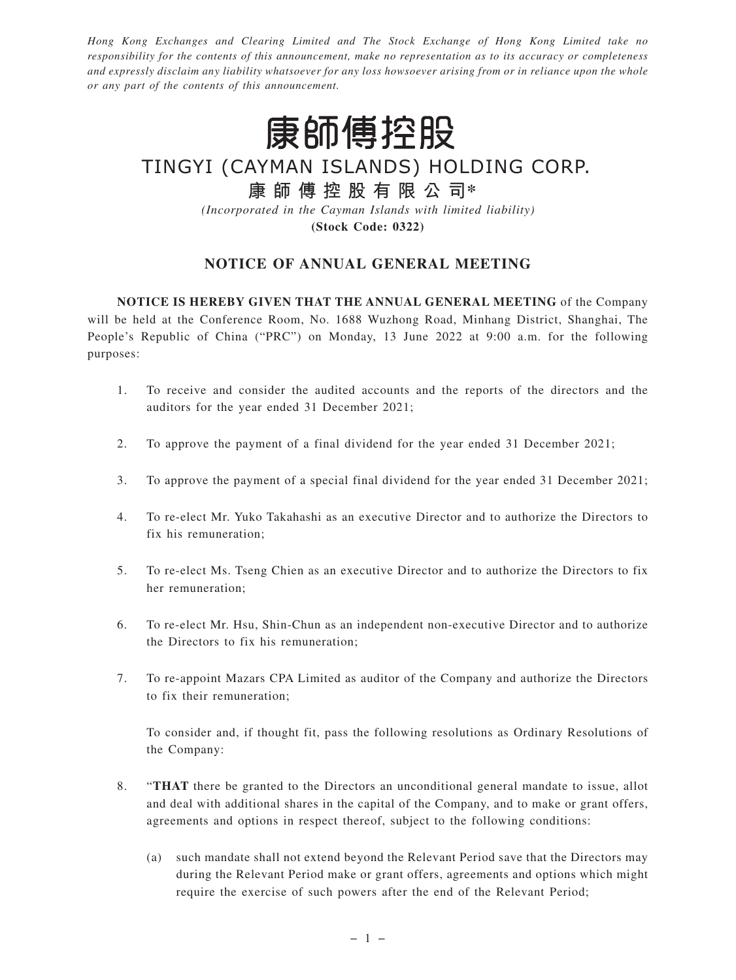*Hong Kong Exchanges and Clearing Limited and The Stock Exchange of Hong Kong Limited take no responsibility for the contents of this announcement, make no representation as to its accuracy or completeness and expressly disclaim any liability whatsoever for any loss howsoever arising from or in reliance upon the whole or any part of the contents of this announcement.*



TINGYI (CAYMAN ISLANDS) HOLDING CORP.

# **康師傅控股有限公司\***

*(Incorporated in the Cayman Islands with limited liability)* **(Stock Code: 0322)**

# **NOTICE OF ANNUAL GENERAL MEETING**

**NOTICE IS HEREBY GIVEN THAT THE ANNUAL GENERAL MEETING** of the Company will be held at the Conference Room, No. 1688 Wuzhong Road, Minhang District, Shanghai, The People's Republic of China ("PRC") on Monday, 13 June 2022 at 9:00 a.m. for the following purposes:

- 1. To receive and consider the audited accounts and the reports of the directors and the auditors for the year ended 31 December 2021;
- 2. To approve the payment of a final dividend for the year ended 31 December 2021;
- 3. To approve the payment of a special final dividend for the year ended 31 December 2021;
- 4. To re-elect Mr. Yuko Takahashi as an executive Director and to authorize the Directors to fix his remuneration;
- 5. To re-elect Ms. Tseng Chien as an executive Director and to authorize the Directors to fix her remuneration;
- 6. To re-elect Mr. Hsu, Shin-Chun as an independent non-executive Director and to authorize the Directors to fix his remuneration;
- 7. To re-appoint Mazars CPA Limited as auditor of the Company and authorize the Directors to fix their remuneration;

To consider and, if thought fit, pass the following resolutions as Ordinary Resolutions of the Company:

- 8. "**THAT** there be granted to the Directors an unconditional general mandate to issue, allot and deal with additional shares in the capital of the Company, and to make or grant offers, agreements and options in respect thereof, subject to the following conditions:
	- (a) such mandate shall not extend beyond the Relevant Period save that the Directors may during the Relevant Period make or grant offers, agreements and options which might require the exercise of such powers after the end of the Relevant Period;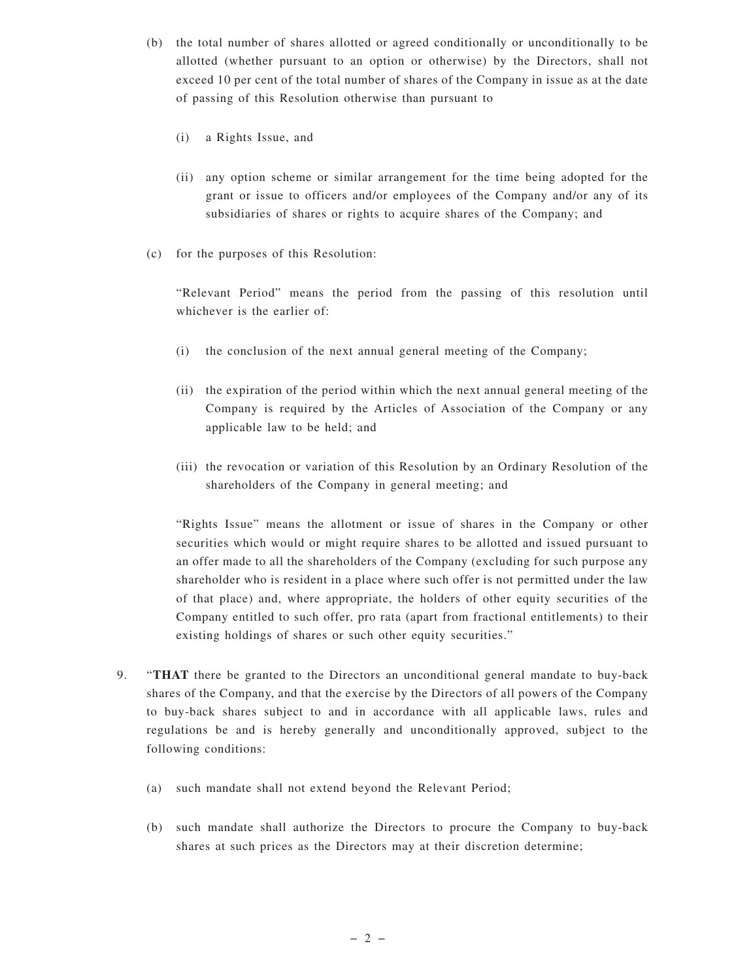- (b) the total number of shares allotted or agreed conditionally or unconditionally to be allotted (whether pursuant to an option or otherwise) by the Directors, shall not exceed 10 per cent of the total number of shares of the Company in issue as at the date of passing of this Resolution otherwise than pursuant to
	- (i) a Rights Issue, and
	- (ii) any option scheme or similar arrangement for the time being adopted for the grant or issue to officers and/or employees of the Company and/or any of its subsidiaries of shares or rights to acquire shares of the Company; and
- (c) for the purposes of this Resolution:

"Relevant Period" means the period from the passing of this resolution until whichever is the earlier of:

- (i) the conclusion of the next annual general meeting of the Company;
- (ii) the expiration of the period within which the next annual general meeting of the Company is required by the Articles of Association of the Company or any applicable law to be held; and
- (iii) the revocation or variation of this Resolution by an Ordinary Resolution of the shareholders of the Company in general meeting; and

"Rights Issue" means the allotment or issue of shares in the Company or other securities which would or might require shares to be allotted and issued pursuant to an offer made to all the shareholders of the Company (excluding for such purpose any shareholder who is resident in a place where such offer is not permitted under the law of that place) and, where appropriate, the holders of other equity securities of the Company entitled to such offer, pro rata (apart from fractional entitlements) to their existing holdings of shares or such other equity securities."

- 9. "**THAT** there be granted to the Directors an unconditional general mandate to buy-back shares of the Company, and that the exercise by the Directors of all powers of the Company to buy-back shares subject to and in accordance with all applicable laws, rules and regulations be and is hereby generally and unconditionally approved, subject to the following conditions:
	- (a) such mandate shall not extend beyond the Relevant Period;
	- (b) such mandate shall authorize the Directors to procure the Company to buy-back shares at such prices as the Directors may at their discretion determine;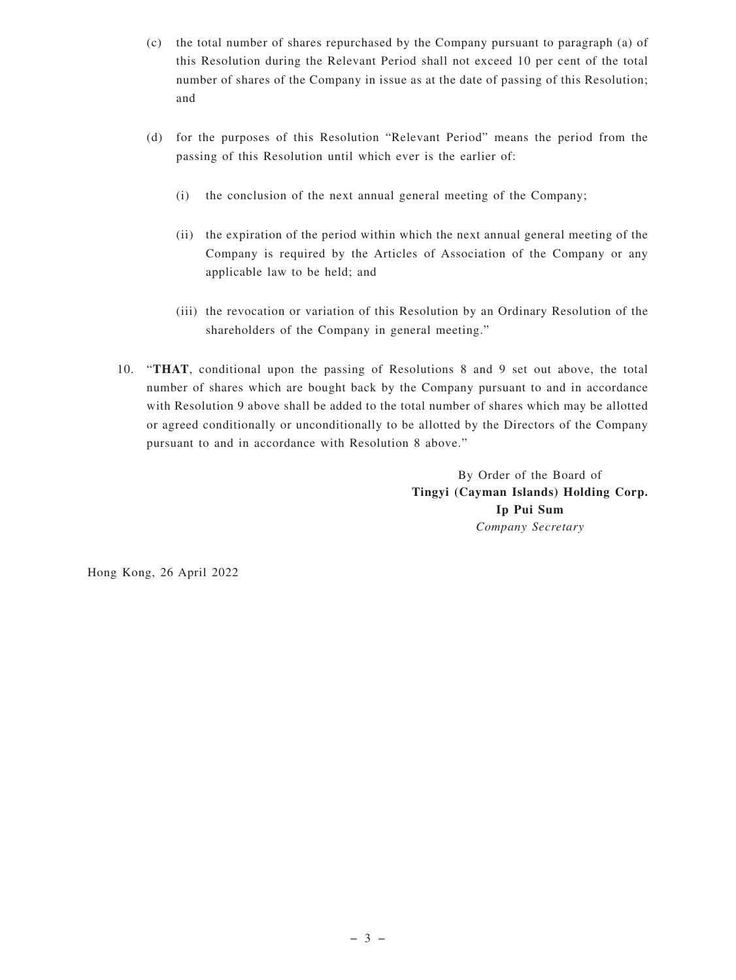- (c) the total number of shares repurchased by the Company pursuant to paragraph (a) of this Resolution during the Relevant Period shall not exceed 10 per cent of the total number of shares of the Company in issue as at the date of passing of this Resolution; and
- (d) for the purposes of this Resolution "Relevant Period" means the period from the passing of this Resolution until which ever is the earlier of:
	- (i) the conclusion of the next annual general meeting of the Company;
	- (ii) the expiration of the period within which the next annual general meeting of the Company is required by the Articles of Association of the Company or any applicable law to be held; and
	- (iii) the revocation or variation of this Resolution by an Ordinary Resolution of the shareholders of the Company in general meeting."
- 10. "**THAT**, conditional upon the passing of Resolutions 8 and 9 set out above, the total number of shares which are bought back by the Company pursuant to and in accordance with Resolution 9 above shall be added to the total number of shares which may be allotted or agreed conditionally or unconditionally to be allotted by the Directors of the Company pursuant to and in accordance with Resolution 8 above."

By Order of the Board of **Tingyi (Cayman Islands) Holding Corp. Ip Pui Sum** *Company Secretary*

Hong Kong, 26 April 2022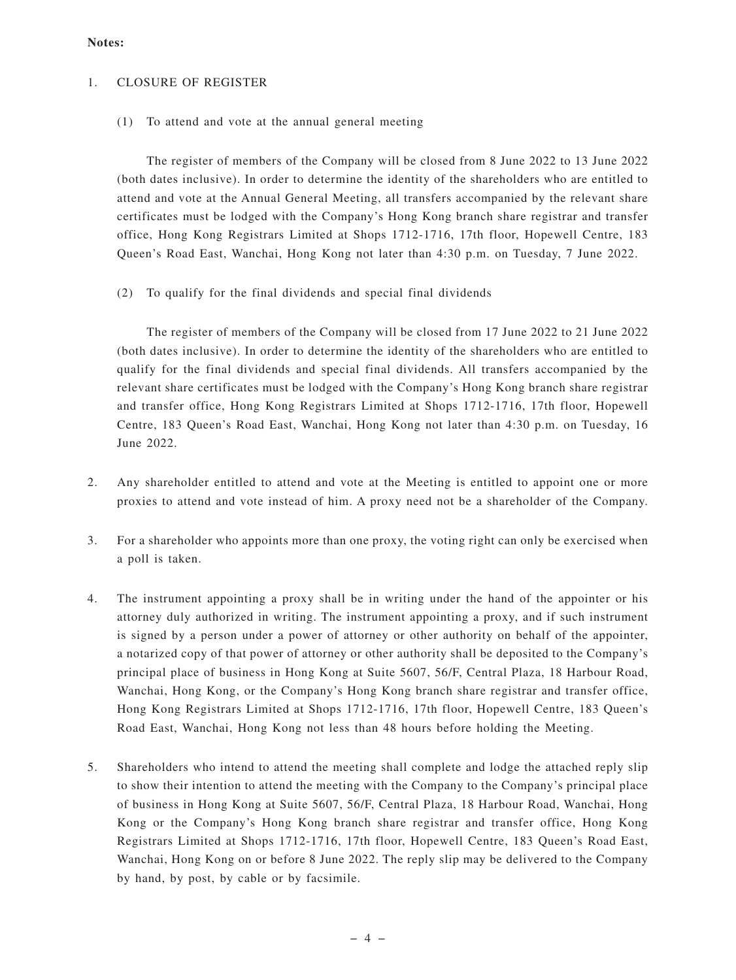#### **Notes:**

## 1. CLOSURE OF REGISTER

(1) To attend and vote at the annual general meeting

The register of members of the Company will be closed from 8 June 2022 to 13 June 2022 (both dates inclusive). In order to determine the identity of the shareholders who are entitled to attend and vote at the Annual General Meeting, all transfers accompanied by the relevant share certificates must be lodged with the Company's Hong Kong branch share registrar and transfer office, Hong Kong Registrars Limited at Shops 1712-1716, 17th floor, Hopewell Centre, 183 Queen's Road East, Wanchai, Hong Kong not later than 4:30 p.m. on Tuesday, 7 June 2022.

(2) To qualify for the final dividends and special final dividends

The register of members of the Company will be closed from 17 June 2022 to 21 June 2022 (both dates inclusive). In order to determine the identity of the shareholders who are entitled to qualify for the final dividends and special final dividends. All transfers accompanied by the relevant share certificates must be lodged with the Company's Hong Kong branch share registrar and transfer office, Hong Kong Registrars Limited at Shops 1712-1716, 17th floor, Hopewell Centre, 183 Queen's Road East, Wanchai, Hong Kong not later than 4:30 p.m. on Tuesday, 16 June 2022.

- 2. Any shareholder entitled to attend and vote at the Meeting is entitled to appoint one or more proxies to attend and vote instead of him. A proxy need not be a shareholder of the Company.
- 3. For a shareholder who appoints more than one proxy, the voting right can only be exercised when a poll is taken.
- 4. The instrument appointing a proxy shall be in writing under the hand of the appointer or his attorney duly authorized in writing. The instrument appointing a proxy, and if such instrument is signed by a person under a power of attorney or other authority on behalf of the appointer, a notarized copy of that power of attorney or other authority shall be deposited to the Company's principal place of business in Hong Kong at Suite 5607, 56/F, Central Plaza, 18 Harbour Road, Wanchai, Hong Kong, or the Company's Hong Kong branch share registrar and transfer office, Hong Kong Registrars Limited at Shops 1712-1716, 17th floor, Hopewell Centre, 183 Queen's Road East, Wanchai, Hong Kong not less than 48 hours before holding the Meeting.
- 5. Shareholders who intend to attend the meeting shall complete and lodge the attached reply slip to show their intention to attend the meeting with the Company to the Company's principal place of business in Hong Kong at Suite 5607, 56/F, Central Plaza, 18 Harbour Road, Wanchai, Hong Kong or the Company's Hong Kong branch share registrar and transfer office, Hong Kong Registrars Limited at Shops 1712-1716, 17th floor, Hopewell Centre, 183 Queen's Road East, Wanchai, Hong Kong on or before 8 June 2022. The reply slip may be delivered to the Company by hand, by post, by cable or by facsimile.